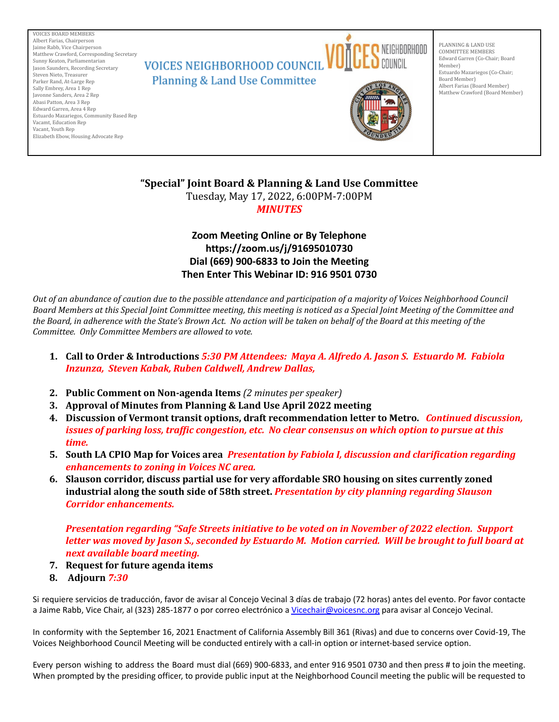VOICES BOARD MEMBERS Albert Farias, Chairperson Jaime Rabb, Vice Chairperson Matthew Crawford, Corresponding Secretary Sunny Keaton, Parliamentarian Jason Saunders, Recording Secretary Steven Nieto, Treasurer Parker Rand, At-Large Rep Sally Embrey, Area 1 Rep Javonne Sanders, Area 2 Rep Abasi Patton, Area 3 Rep Edward Garren, Area 4 Rep Estuardo Mazariegos, Community Based Rep Vacamt, Education Rep Vacant, Youth Rep Elizabeth Ebow, Housing Advocate Rep



PLANNING & LAND USE COMMITTEE MEMBERS Edward Garren (Co-Chair; Board Member) Estuardo Mazariegos (Co-Chair; Board Member) Albert Farias (Board Member) Matthew Crawford (Board Member)

**"Special" Joint Board & Planning & Land Use Committee** Tuesday, May 17, 2022, 6:00PM-7:00PM *MINUTES*

# **Zoom Meeting Online or By Telephone https://zoom.us/j/91695010730 Dial (669) 900-6833 to Join the Meeting Then Enter This Webinar ID: 916 9501 0730**

Out of an abundance of caution due to the possible attendance and participation of a majority of Voices Neighborhood Council Board Members at this Special Joint Committee meeting, this meeting is noticed as a Special Joint Meeting of the Committee and the Board, in adherence with the State's Brown Act. No action will be taken on behalf of the Board at this meeting of the *Committee. Only Committee Members are allowed to vote.*

- 1. Call to Order & Introductions 5:30 PM Attendees: Maya A. Alfredo A. Jason S. Estuardo M. Fabiola *Inzunza, Steven Kabak, Ruben Caldwell, Andrew Dallas,*
- **2. Public Comment on Non-agenda Items** *(2 minutes per speaker)*
- **3. Approval of Minutes from Planning & Land Use April 2022 meeting**
- **4. Discussion of Vermont transit options, draft recommendation letter to Metro.** *Continued discussion, issues of parking loss, traffic congestion, etc. No clear consensus on which option to pursue at this time.*
- **5. South LA CPIO Map for Voices area** *Presentation by Fabiola I, discussion and clarification regarding enhancements to zoning in Voices NC area.*
- **6. Slauson corridor, discuss partial use for very affordable SRO housing on sites currently zoned industrial along the south side of 58th street.** *Presentation by city planning regarding Slauson Corridor enhancements.*

*Presentation regarding "Safe Streets initiative to be voted on in November of 2022 election. Support* letter was moved by Jason S., seconded by Estuardo M. Motion carried. Will be brought to full board at *next available board meeting.*

- **7. Request for future agenda items**
- **8. Adjourn** *7:30*

Si requiere servicios de traducción, favor de avisar al Concejo Vecinal 3 días de trabajo (72 horas) antes del evento. Por favor contacte a Jaime Rabb, Vice Chair, al (323) 285-1877 o por correo electrónico a [Vicechair@voicesnc.org](mailto:VNCCorrSec18@gmail.com) para avisar al Concejo Vecinal.

In conformity with the September 16, 2021 Enactment of California Assembly Bill 361 (Rivas) and due to concerns over Covid-19, The Voices Neighborhood Council Meeting will be conducted entirely with a call-in option or internet-based service option.

Every person wishing to address the Board must dial (669) 900-6833, and enter 916 9501 0730 and then press # to join the meeting. When prompted by the presiding officer, to provide public input at the Neighborhood Council meeting the public will be requested to